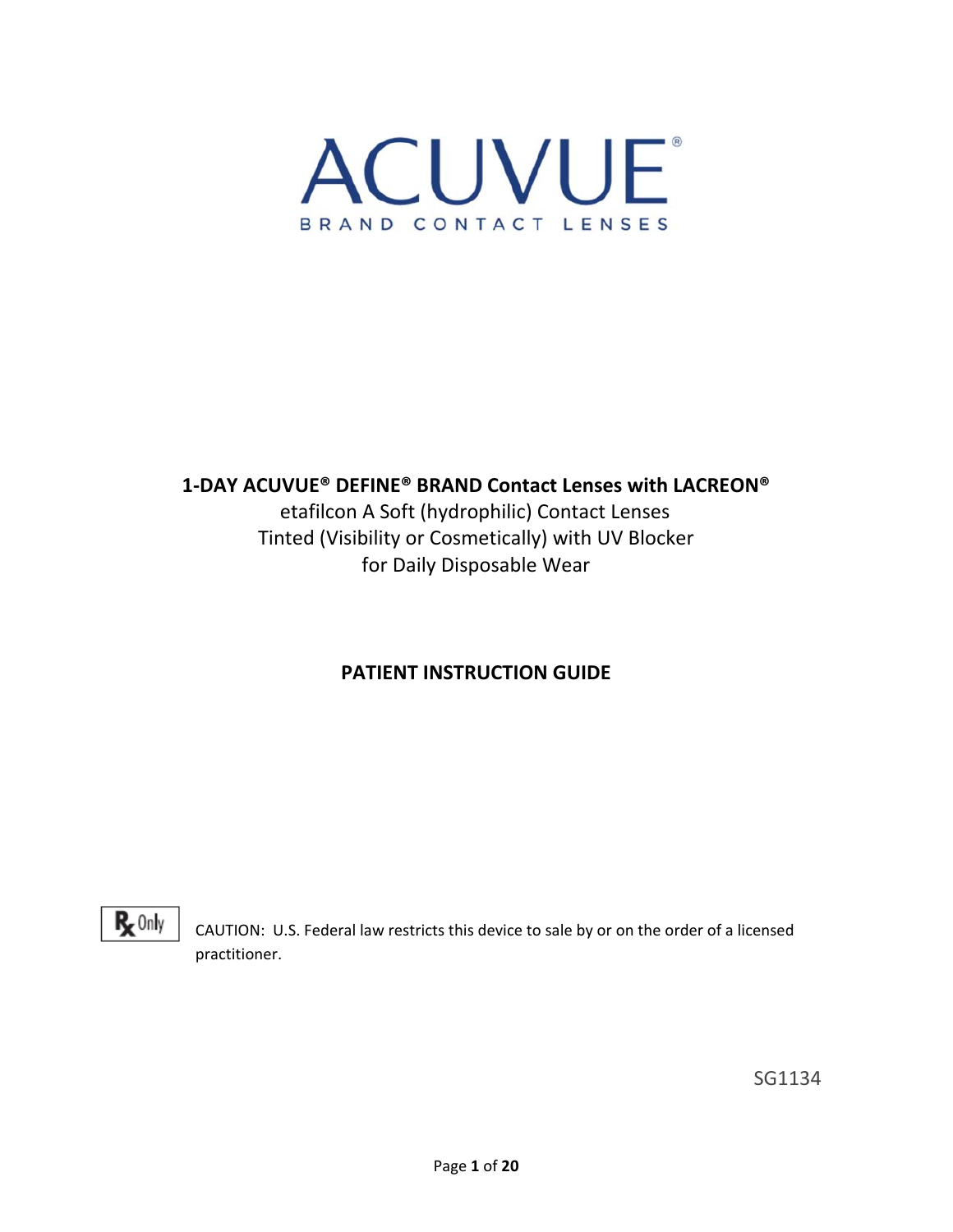

## **1‐DAY ACUVUE® DEFINE® BRAND Contact Lenses with LACREON®**

etafilcon A Soft (hydrophilic) Contact Lenses Tinted (Visibility or Cosmetically) with UV Blocker for Daily Disposable Wear

## **PATIENT INSTRUCTION GUIDE**

 $R_{x}$  Only

CAUTION: U.S. Federal law restricts this device to sale by or on the order of a licensed practitioner.

SG1134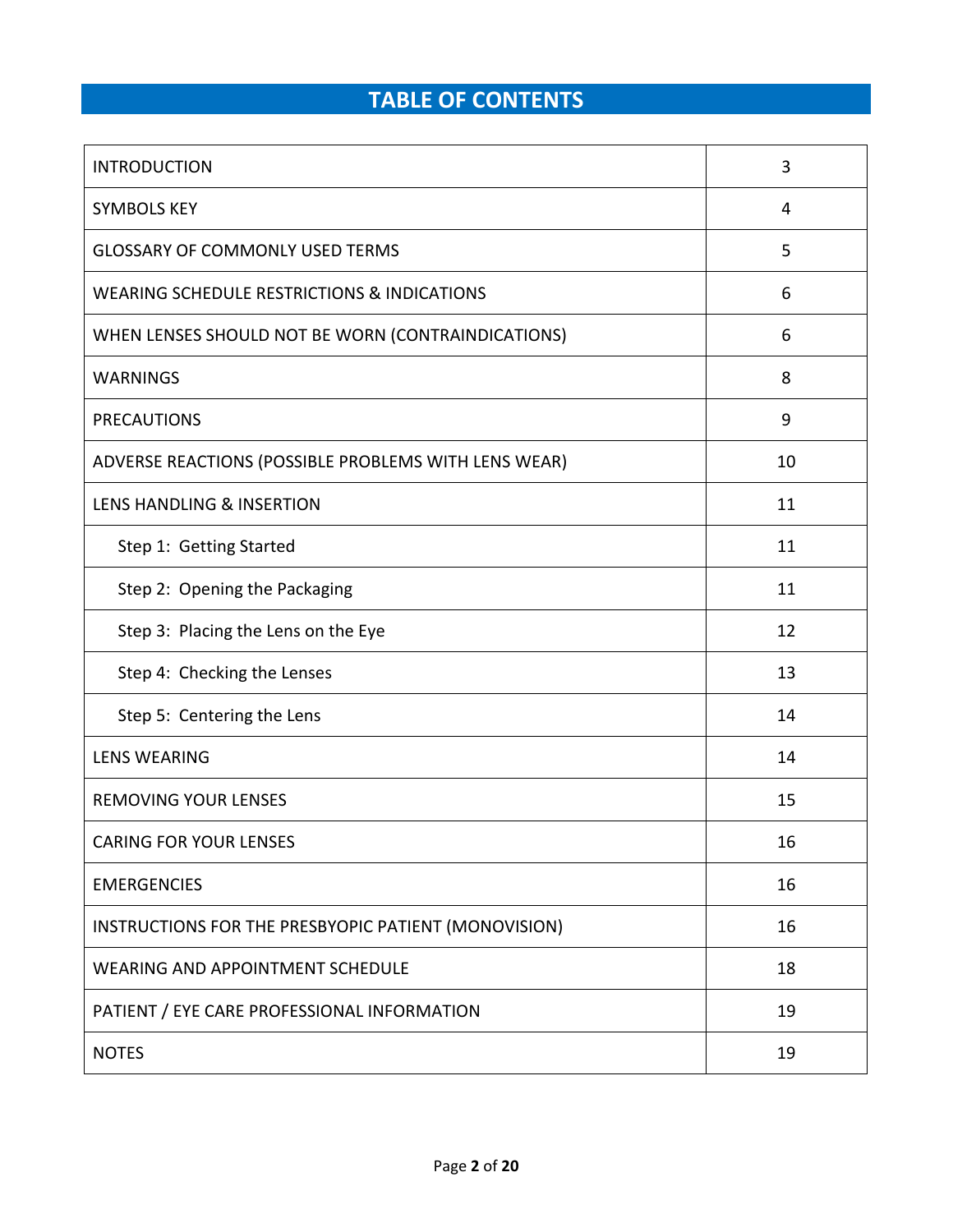# **TABLE OF CONTENTS**

| <b>INTRODUCTION</b>                                    | 3  |
|--------------------------------------------------------|----|
| <b>SYMBOLS KEY</b>                                     | 4  |
| <b>GLOSSARY OF COMMONLY USED TERMS</b>                 | 5  |
| <b>WEARING SCHEDULE RESTRICTIONS &amp; INDICATIONS</b> | 6  |
| WHEN LENSES SHOULD NOT BE WORN (CONTRAINDICATIONS)     | 6  |
| <b>WARNINGS</b>                                        | 8  |
| <b>PRECAUTIONS</b>                                     | 9  |
| ADVERSE REACTIONS (POSSIBLE PROBLEMS WITH LENS WEAR)   | 10 |
| <b>LENS HANDLING &amp; INSERTION</b>                   | 11 |
| Step 1: Getting Started                                | 11 |
| Step 2: Opening the Packaging                          | 11 |
| Step 3: Placing the Lens on the Eye                    | 12 |
| Step 4: Checking the Lenses                            | 13 |
| Step 5: Centering the Lens                             | 14 |
| <b>LENS WEARING</b>                                    | 14 |
| <b>REMOVING YOUR LENSES</b>                            | 15 |
| <b>CARING FOR YOUR LENSES</b>                          | 16 |
| <b>EMERGENCIES</b>                                     | 16 |
| INSTRUCTIONS FOR THE PRESBYOPIC PATIENT (MONOVISION)   | 16 |
| <b>WEARING AND APPOINTMENT SCHEDULE</b>                | 18 |
| PATIENT / EYE CARE PROFESSIONAL INFORMATION            | 19 |
| <b>NOTES</b>                                           | 19 |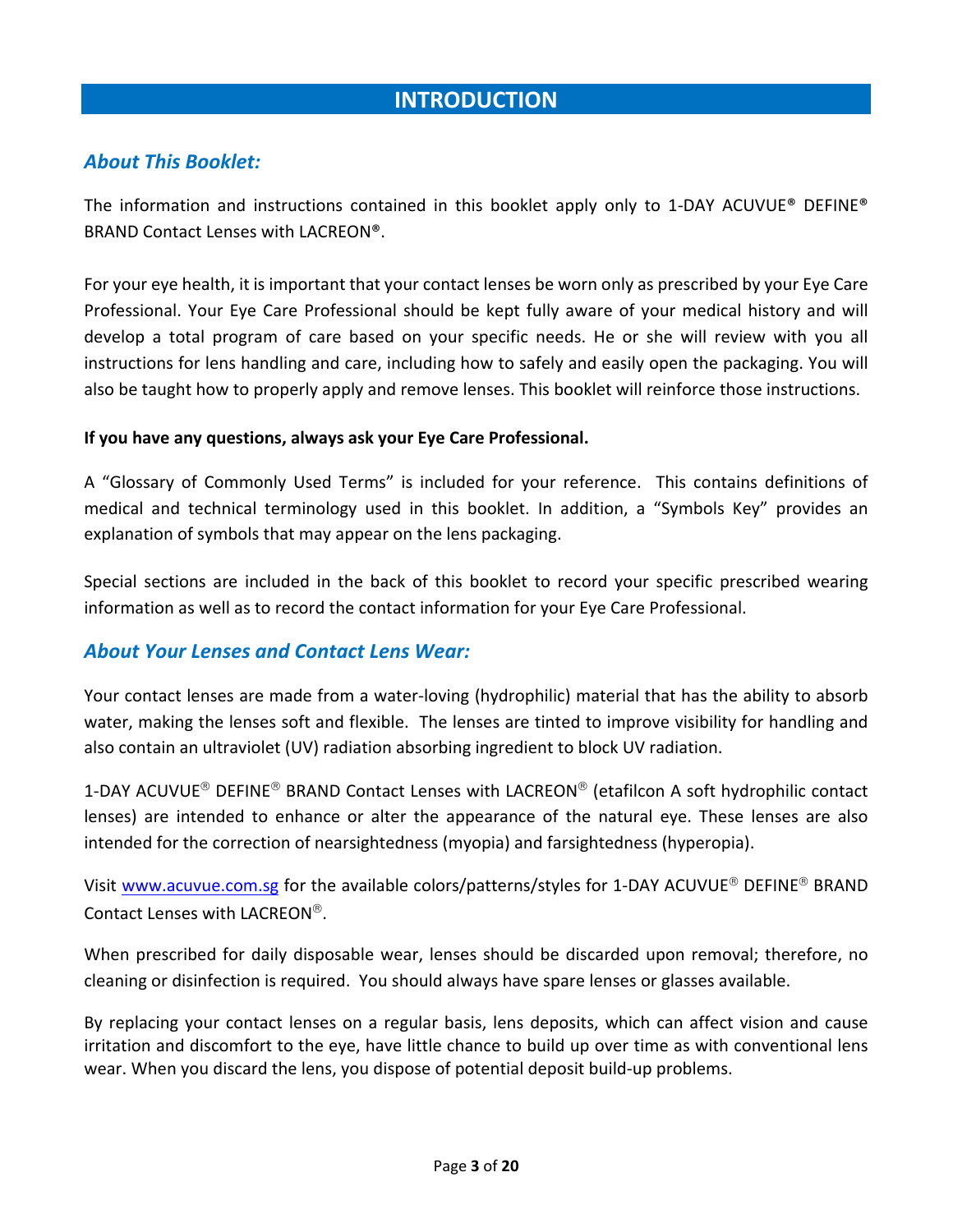## **INTRODUCTION**

### *About This Booklet:*

The information and instructions contained in this booklet apply only to 1-DAY ACUVUE® DEFINE® BRAND Contact Lenses with LACREON®.

For your eye health, it is important that your contact lenses be worn only as prescribed by your Eye Care Professional. Your Eye Care Professional should be kept fully aware of your medical history and will develop a total program of care based on your specific needs. He or she will review with you all instructions for lens handling and care, including how to safely and easily open the packaging. You will also be taught how to properly apply and remove lenses. This booklet will reinforce those instructions.

#### **If you have any questions, always ask your Eye Care Professional.**

A "Glossary of Commonly Used Terms" is included for your reference. This contains definitions of medical and technical terminology used in this booklet. In addition, a "Symbols Key" provides an explanation of symbols that may appear on the lens packaging.

Special sections are included in the back of this booklet to record your specific prescribed wearing information as well as to record the contact information for your Eye Care Professional.

#### *About Your Lenses and Contact Lens Wear:*

Your contact lenses are made from a water‐loving (hydrophilic) material that has the ability to absorb water, making the lenses soft and flexible. The lenses are tinted to improve visibility for handling and also contain an ultraviolet (UV) radiation absorbing ingredient to block UV radiation.

1-DAY ACUVUE<sup>®</sup> DEFINE<sup>®</sup> BRAND Contact Lenses with LACREON<sup>®</sup> (etafilcon A soft hydrophilic contact lenses) are intended to enhance or alter the appearance of the natural eye. These lenses are also intended for the correction of nearsightedness (myopia) and farsightedness (hyperopia).

Visit www.acuvue.com.sg for the available colors/patterns/styles for 1-DAY ACUVUE<sup>®</sup> DEFINE<sup>®</sup> BRAND Contact Lenses with LACREON<sup>®</sup>.

When prescribed for daily disposable wear, lenses should be discarded upon removal; therefore, no cleaning or disinfection is required. You should always have spare lenses or glasses available.

By replacing your contact lenses on a regular basis, lens deposits, which can affect vision and cause irritation and discomfort to the eye, have little chance to build up over time as with conventional lens wear. When you discard the lens, you dispose of potential deposit build-up problems.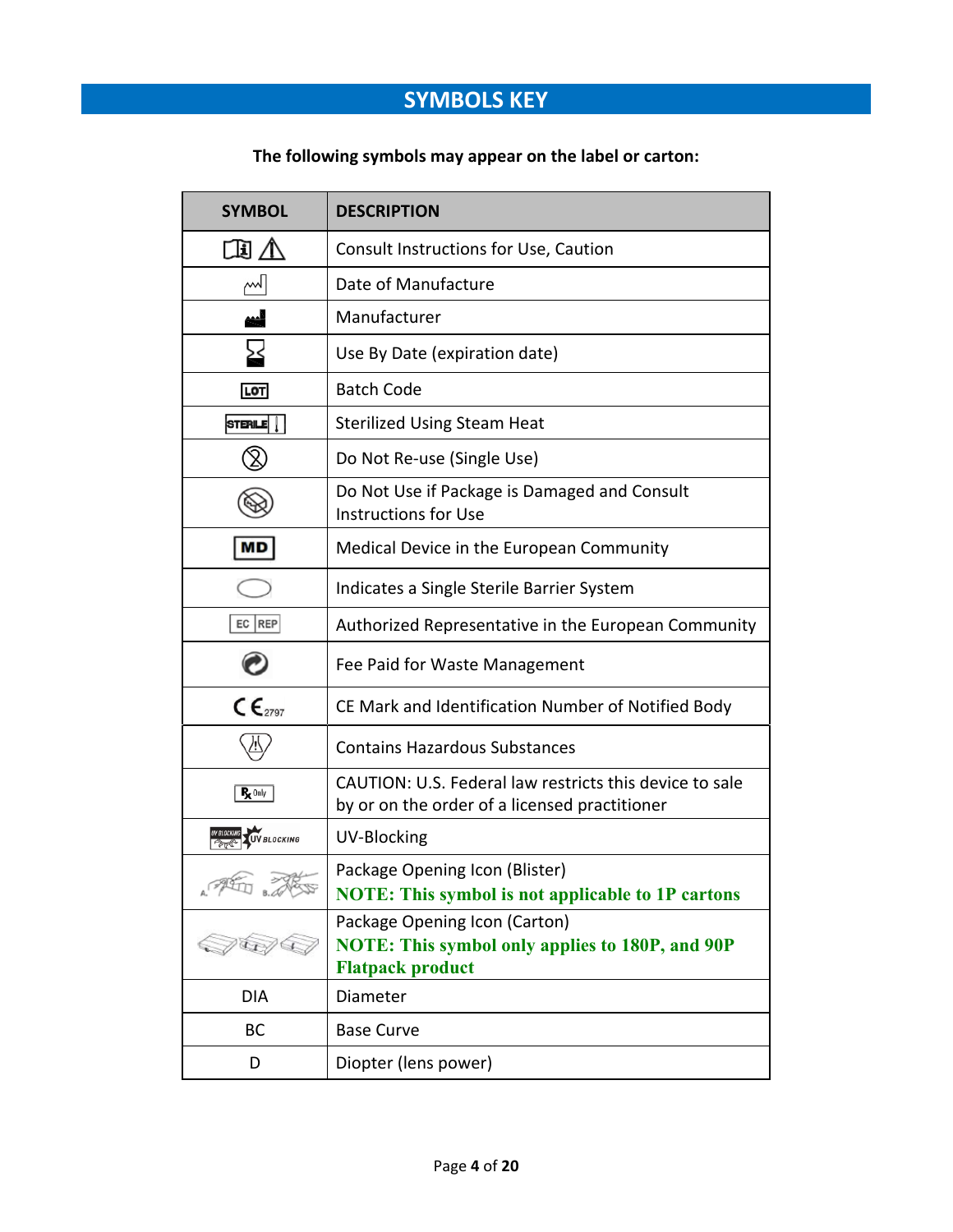# **SYMBOLS KEY**

## **The following symbols may appear on the label or carton:**

| <b>SYMBOL</b>                            | <b>DESCRIPTION</b>                                                                                                 |  |  |
|------------------------------------------|--------------------------------------------------------------------------------------------------------------------|--|--|
|                                          | Consult Instructions for Use, Caution                                                                              |  |  |
| اسم                                      | Date of Manufacture                                                                                                |  |  |
|                                          | Manufacturer                                                                                                       |  |  |
| بح                                       | Use By Date (expiration date)                                                                                      |  |  |
| LOT                                      | <b>Batch Code</b>                                                                                                  |  |  |
| STERILE <sup>T</sup>                     | <b>Sterilized Using Steam Heat</b>                                                                                 |  |  |
|                                          | Do Not Re-use (Single Use)                                                                                         |  |  |
|                                          | Do Not Use if Package is Damaged and Consult<br><b>Instructions for Use</b>                                        |  |  |
| MD                                       | Medical Device in the European Community                                                                           |  |  |
|                                          | Indicates a Single Sterile Barrier System                                                                          |  |  |
| EC REP                                   | Authorized Representative in the European Community                                                                |  |  |
|                                          | Fee Paid for Waste Management                                                                                      |  |  |
| $\mathsf{CE}_{2797}$                     | CE Mark and Identification Number of Notified Body                                                                 |  |  |
|                                          | <b>Contains Hazardous Substances</b>                                                                               |  |  |
| $R_{\mathbf{X}}$ Only                    | CAUTION: U.S. Federal law restricts this device to sale<br>by or on the order of a licensed practitioner           |  |  |
| <b>UV BLOCKING</b><br><b>UV BLOCKING</b> | <b>UV-Blocking</b>                                                                                                 |  |  |
| A. (<br>B.                               | Package Opening Icon (Blister)<br><b>NOTE:</b> This symbol is not applicable to 1P cartons                         |  |  |
|                                          | Package Opening Icon (Carton)<br><b>NOTE: This symbol only applies to 180P, and 90P</b><br><b>Flatpack product</b> |  |  |
| DIA                                      | Diameter                                                                                                           |  |  |
| BC                                       | <b>Base Curve</b>                                                                                                  |  |  |
| D                                        | Diopter (lens power)                                                                                               |  |  |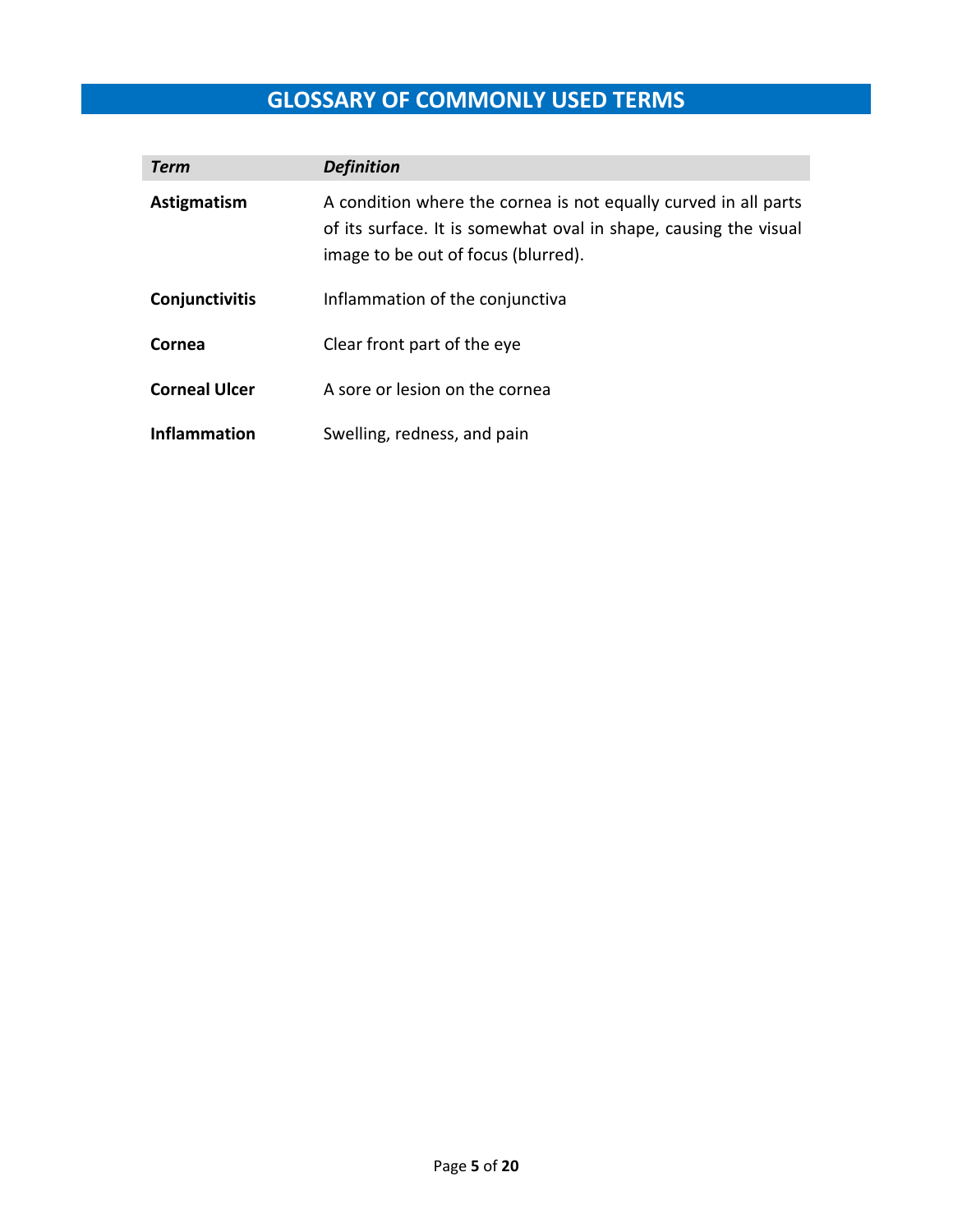# **GLOSSARY OF COMMONLY USED TERMS**

| <b>Term</b>          | <b>Definition</b>                                                                                                                                                          |
|----------------------|----------------------------------------------------------------------------------------------------------------------------------------------------------------------------|
| Astigmatism          | A condition where the cornea is not equally curved in all parts<br>of its surface. It is somewhat oval in shape, causing the visual<br>image to be out of focus (blurred). |
| Conjunctivitis       | Inflammation of the conjunctiva                                                                                                                                            |
| Cornea               | Clear front part of the eye                                                                                                                                                |
| <b>Corneal Ulcer</b> | A sore or lesion on the cornea                                                                                                                                             |
| <b>Inflammation</b>  | Swelling, redness, and pain                                                                                                                                                |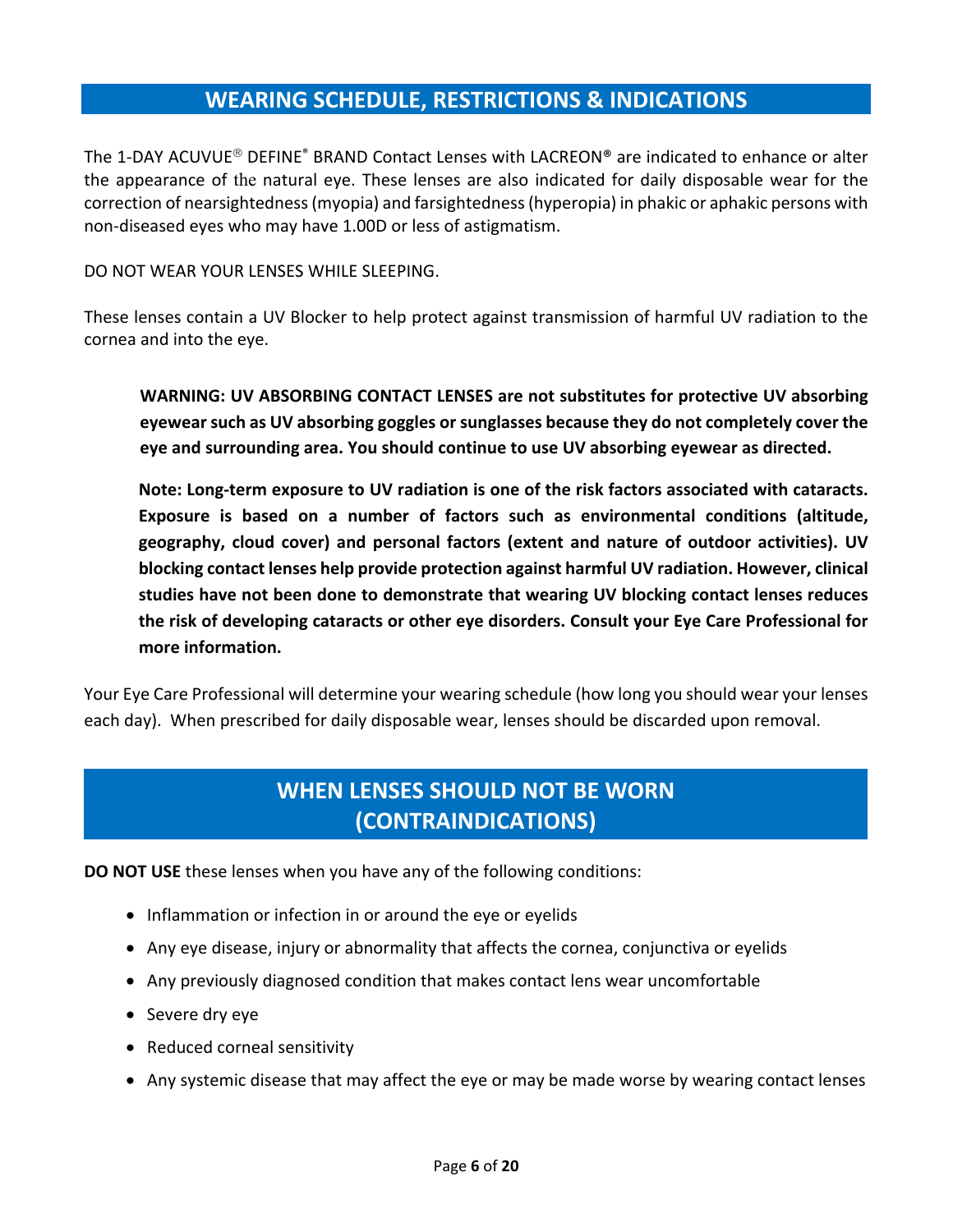## **WEARING SCHEDULE, RESTRICTIONS & INDICATIONS**

The 1-DAY ACUVUE<sup>®</sup> DEFINE<sup>®</sup> BRAND Contact Lenses with LACREON® are indicated to enhance or alter the appearance of the natural eye. These lenses are also indicated for daily disposable wear for the correction of nearsightedness (myopia) and farsightedness (hyperopia) in phakic or aphakic persons with non‐diseased eyes who may have 1.00D or less of astigmatism.

DO NOT WEAR YOUR LENSES WHILE SLEEPING.

These lenses contain a UV Blocker to help protect against transmission of harmful UV radiation to the cornea and into the eye.

**WARNING: UV ABSORBING CONTACT LENSES are not substitutes for protective UV absorbing eyewear such as UV absorbing goggles or sunglasses because they do not completely cover the eye and surrounding area. You should continue to use UV absorbing eyewear as directed.** 

**Note: Long‐term exposure to UV radiation is one of the risk factors associated with cataracts. Exposure is based on a number of factors such as environmental conditions (altitude, geography, cloud cover) and personal factors (extent and nature of outdoor activities). UV blocking contact lenses help provide protection against harmful UV radiation. However, clinical studies have not been done to demonstrate that wearing UV blocking contact lenses reduces the risk of developing cataracts or other eye disorders. Consult your Eye Care Professional for more information.** 

Your Eye Care Professional will determine your wearing schedule (how long you should wear your lenses each day). When prescribed for daily disposable wear, lenses should be discarded upon removal.

## **WHEN LENSES SHOULD NOT BE WORN (CONTRAINDICATIONS)**

**DO NOT USE** these lenses when you have any of the following conditions:

- Inflammation or infection in or around the eye or eyelids
- Any eye disease, injury or abnormality that affects the cornea, conjunctiva or eyelids
- Any previously diagnosed condition that makes contact lens wear uncomfortable
- Severe dry eye
- Reduced corneal sensitivity
- Any systemic disease that may affect the eye or may be made worse by wearing contact lenses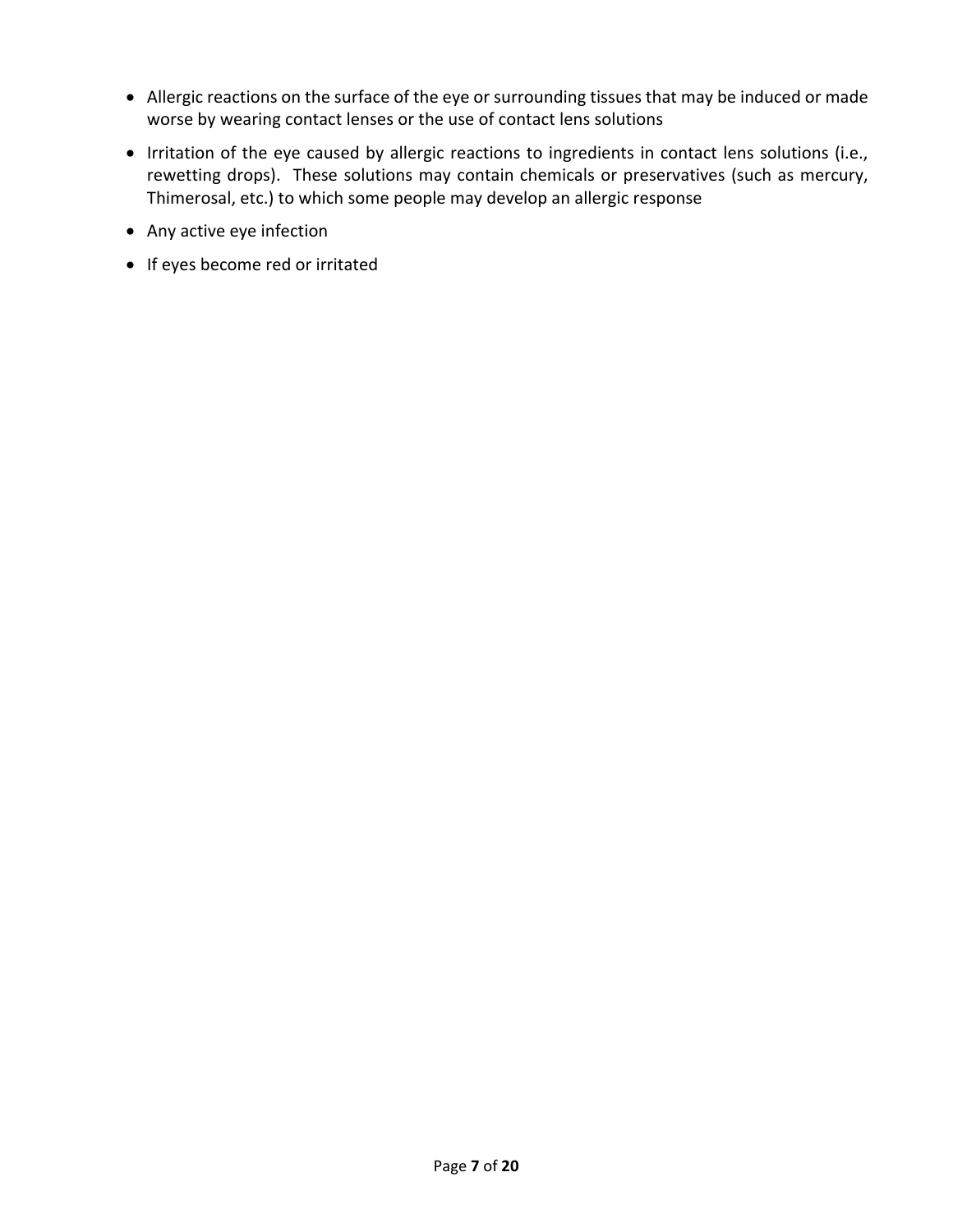- Allergic reactions on the surface of the eye or surrounding tissues that may be induced or made worse by wearing contact lenses or the use of contact lens solutions
- Irritation of the eye caused by allergic reactions to ingredients in contact lens solutions (i.e., rewetting drops). These solutions may contain chemicals or preservatives (such as mercury, Thimerosal, etc.) to which some people may develop an allergic response
- Any active eye infection
- If eyes become red or irritated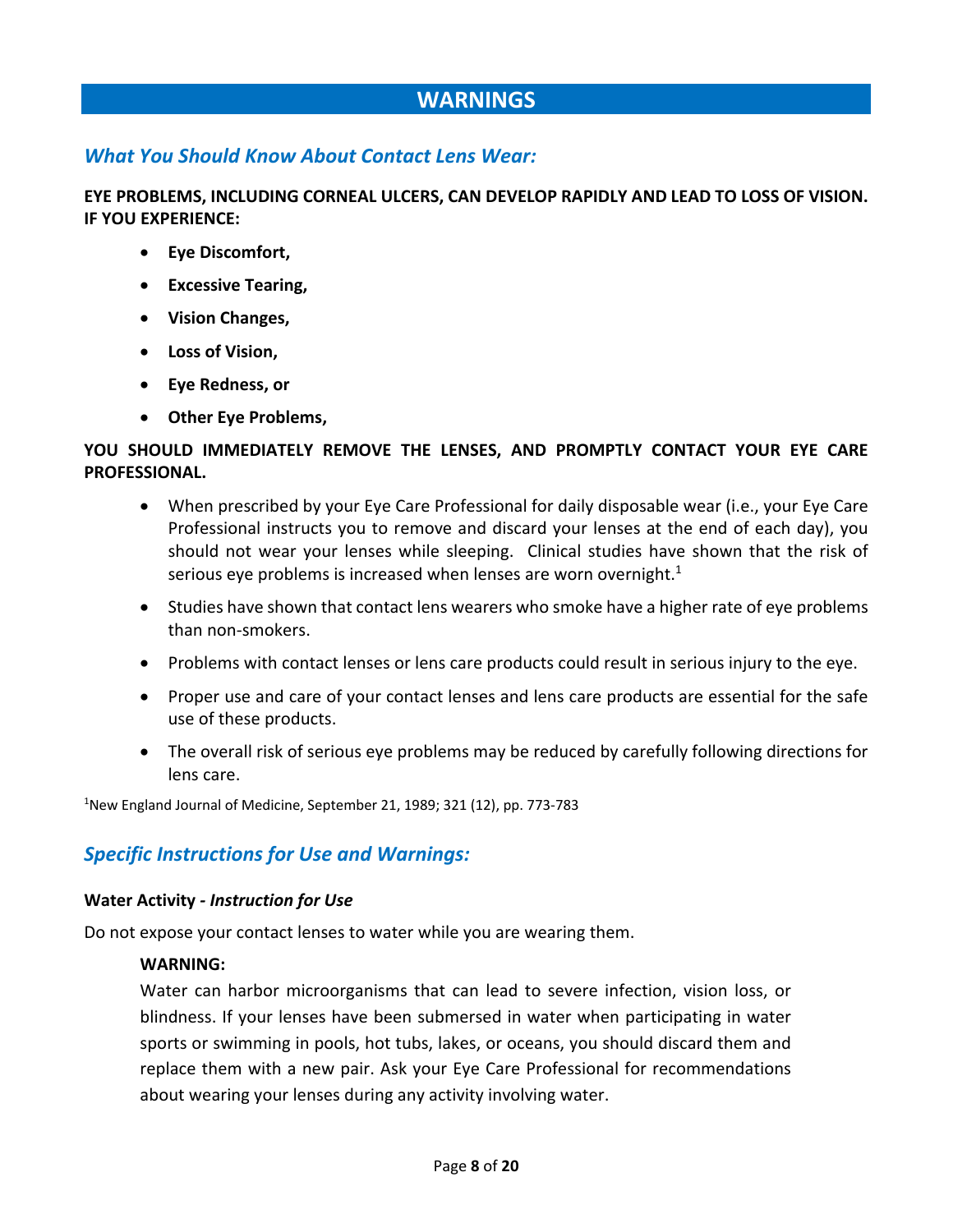## **WARNINGS**

#### *What You Should Know About Contact Lens Wear:*

**EYE PROBLEMS, INCLUDING CORNEAL ULCERS, CAN DEVELOP RAPIDLY AND LEAD TO LOSS OF VISION. IF YOU EXPERIENCE:** 

- **Eye Discomfort,**
- **Excessive Tearing,**
- **Vision Changes,**
- **Loss of Vision,**
- **Eye Redness, or**
- **Other Eye Problems,**

#### **YOU SHOULD IMMEDIATELY REMOVE THE LENSES, AND PROMPTLY CONTACT YOUR EYE CARE PROFESSIONAL.**

- When prescribed by your Eye Care Professional for daily disposable wear (i.e., your Eye Care Professional instructs you to remove and discard your lenses at the end of each day), you should not wear your lenses while sleeping. Clinical studies have shown that the risk of serious eye problems is increased when lenses are worn overnight. $1$
- Studies have shown that contact lens wearers who smoke have a higher rate of eye problems than non‐smokers.
- Problems with contact lenses or lens care products could result in serious injury to the eye.
- Proper use and care of your contact lenses and lens care products are essential for the safe use of these products.
- The overall risk of serious eye problems may be reduced by carefully following directions for lens care.

<sup>1</sup>New England Journal of Medicine, September 21, 1989; 321 (12), pp. 773-783

#### *Specific Instructions for Use and Warnings:*

#### **Water Activity** *‐ Instruction for Use*

Do not expose your contact lenses to water while you are wearing them.

#### **WARNING:**

Water can harbor microorganisms that can lead to severe infection, vision loss, or blindness. If your lenses have been submersed in water when participating in water sports or swimming in pools, hot tubs, lakes, or oceans, you should discard them and replace them with a new pair. Ask your Eye Care Professional for recommendations about wearing your lenses during any activity involving water.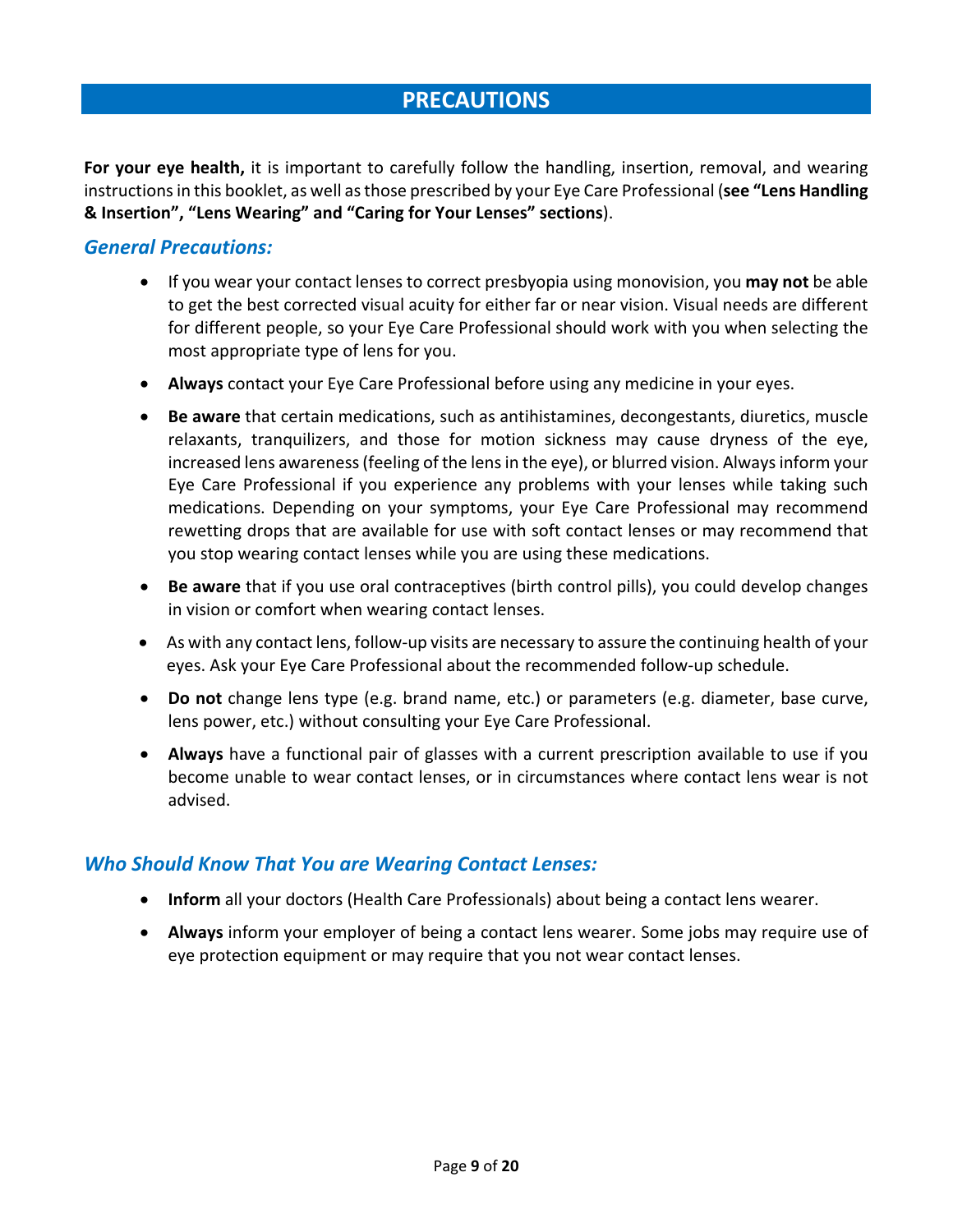## **PRECAUTIONS**

**For your eye health,** it is important to carefully follow the handling, insertion, removal, and wearing instructions in this booklet, as well as those prescribed by your Eye Care Professional (**see "Lens Handling & Insertion", "Lens Wearing" and "Caring for Your Lenses" sections**).

#### *General Precautions:*

- If you wear your contact lenses to correct presbyopia using monovision, you **may not** be able to get the best corrected visual acuity for either far or near vision. Visual needs are different for different people, so your Eye Care Professional should work with you when selecting the most appropriate type of lens for you.
- **Always** contact your Eye Care Professional before using any medicine in your eyes.
- **Be aware** that certain medications, such as antihistamines, decongestants, diuretics, muscle relaxants, tranquilizers, and those for motion sickness may cause dryness of the eye, increased lens awareness (feeling of the lens in the eye), or blurred vision. Always inform your Eye Care Professional if you experience any problems with your lenses while taking such medications. Depending on your symptoms, your Eye Care Professional may recommend rewetting drops that are available for use with soft contact lenses or may recommend that you stop wearing contact lenses while you are using these medications.
- **Be aware** that if you use oral contraceptives (birth control pills), you could develop changes in vision or comfort when wearing contact lenses.
- As with any contact lens, follow-up visits are necessary to assure the continuing health of your eyes. Ask your Eye Care Professional about the recommended follow‐up schedule.
- **Do not** change lens type (e.g. brand name, etc.) or parameters (e.g. diameter, base curve, lens power, etc.) without consulting your Eye Care Professional.
- **Always** have a functional pair of glasses with a current prescription available to use if you become unable to wear contact lenses, or in circumstances where contact lens wear is not advised.

#### *Who Should Know That You are Wearing Contact Lenses:*

- **Inform** all your doctors (Health Care Professionals) about being a contact lens wearer.
- **Always** inform your employer of being a contact lens wearer. Some jobs may require use of eye protection equipment or may require that you not wear contact lenses.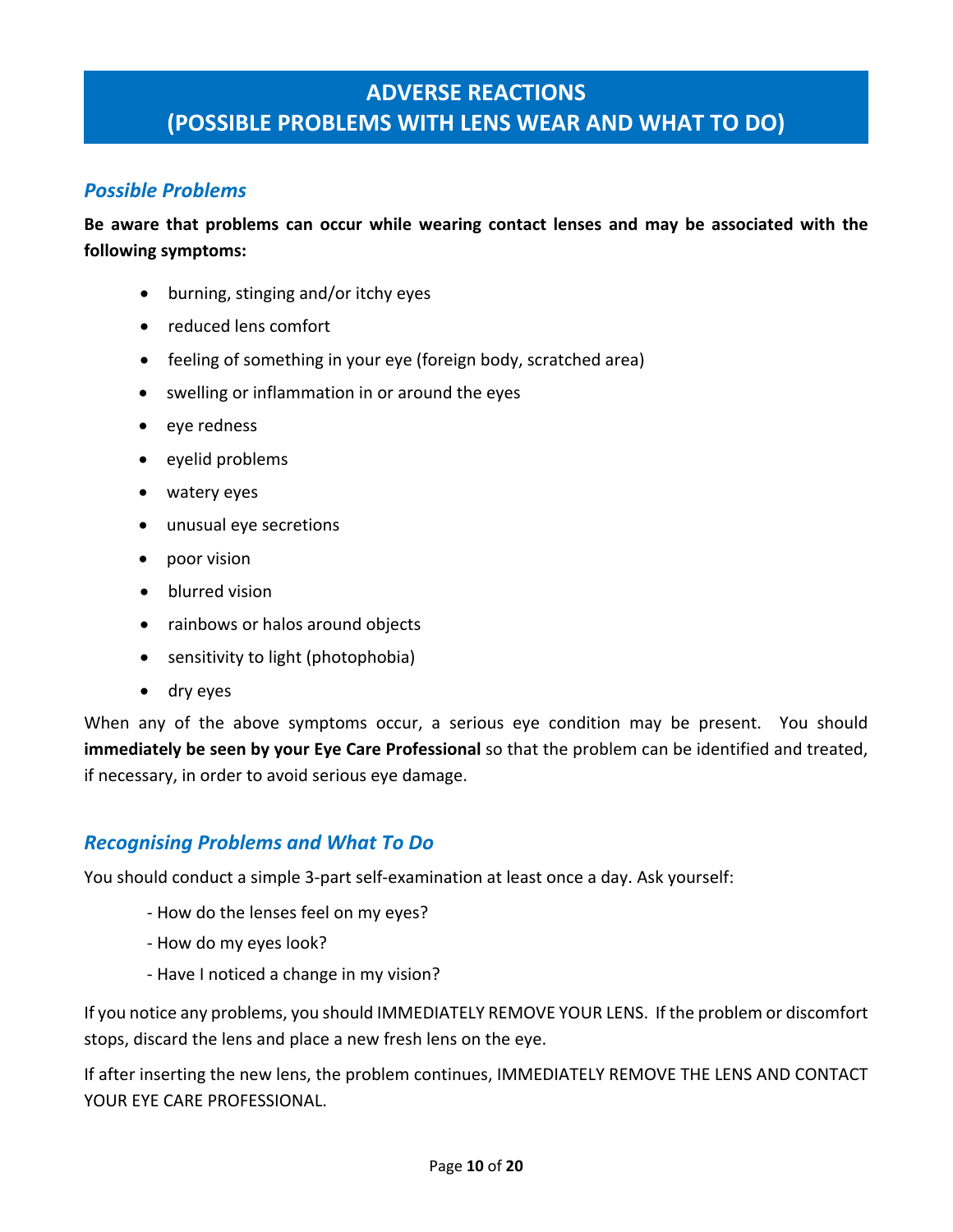## **ADVERSE REACTIONS (POSSIBLE PROBLEMS WITH LENS WEAR AND WHAT TO DO)**

## *Possible Problems*

**Be aware that problems can occur while wearing contact lenses and may be associated with the following symptoms:** 

- burning, stinging and/or itchy eyes
- reduced lens comfort
- feeling of something in your eye (foreign body, scratched area)
- swelling or inflammation in or around the eyes
- eye redness
- eyelid problems
- watery eyes
- unusual eye secretions
- poor vision
- blurred vision
- rainbows or halos around objects
- sensitivity to light (photophobia)
- dry eyes

When any of the above symptoms occur, a serious eye condition may be present. You should **immediately be seen by your Eye Care Professional** so that the problem can be identified and treated, if necessary, in order to avoid serious eye damage.

#### *Recognising Problems and What To Do*

You should conduct a simple 3‐part self‐examination at least once a day. Ask yourself:

- ‐ How do the lenses feel on my eyes?
- ‐ How do my eyes look?
- ‐ Have I noticed a change in my vision?

If you notice any problems, you should IMMEDIATELY REMOVE YOUR LENS. If the problem or discomfort stops, discard the lens and place a new fresh lens on the eye.

If after inserting the new lens, the problem continues, IMMEDIATELY REMOVE THE LENS AND CONTACT YOUR EYE CARE PROFESSIONAL.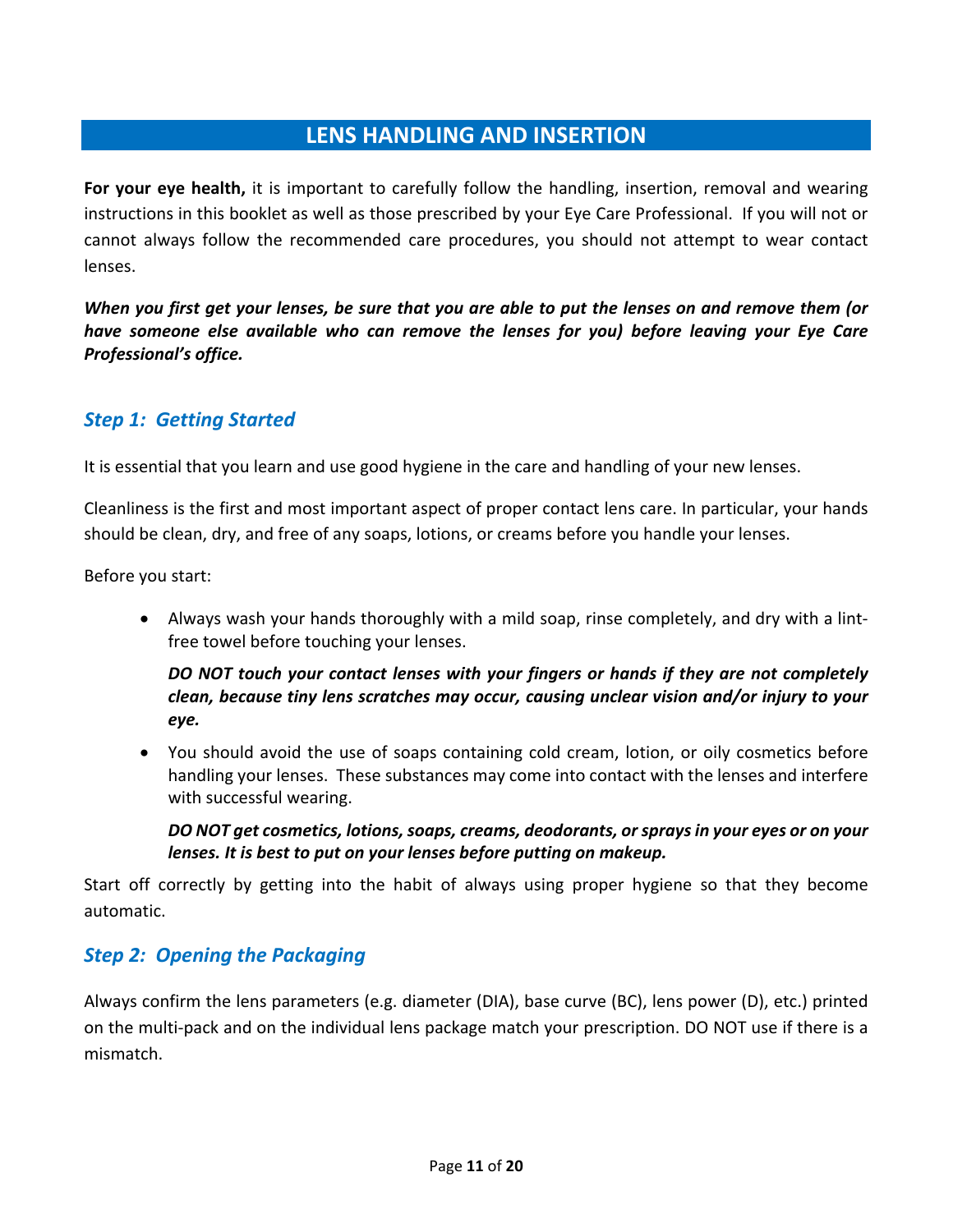## **LENS HANDLING AND INSERTION**

For your eye health, it is important to carefully follow the handling, insertion, removal and wearing instructions in this booklet as well as those prescribed by your Eye Care Professional. If you will not or cannot always follow the recommended care procedures, you should not attempt to wear contact lenses.

*When you first get your lenses, be sure that you are able to put the lenses on and remove them (or have someone else available who can remove the lenses for you) before leaving your Eye Care Professional's office.* 

#### *Step 1: Getting Started*

It is essential that you learn and use good hygiene in the care and handling of your new lenses.

Cleanliness is the first and most important aspect of proper contact lens care. In particular, your hands should be clean, dry, and free of any soaps, lotions, or creams before you handle your lenses.

Before you start:

 Always wash your hands thoroughly with a mild soap, rinse completely, and dry with a lint‐ free towel before touching your lenses.

#### *DO NOT touch your contact lenses with your fingers or hands if they are not completely clean, because tiny lens scratches may occur, causing unclear vision and/or injury to your eye.*

 You should avoid the use of soaps containing cold cream, lotion, or oily cosmetics before handling your lenses. These substances may come into contact with the lenses and interfere with successful wearing.

*DO NOT get cosmetics, lotions, soaps, creams, deodorants, or sprays in your eyes or on your lenses. It is best to put on your lenses before putting on makeup.* 

Start off correctly by getting into the habit of always using proper hygiene so that they become automatic.

## *Step 2: Opening the Packaging*

Always confirm the lens parameters (e.g. diameter (DIA), base curve (BC), lens power (D), etc.) printed on the multi‐pack and on the individual lens package match your prescription. DO NOT use if there is a mismatch.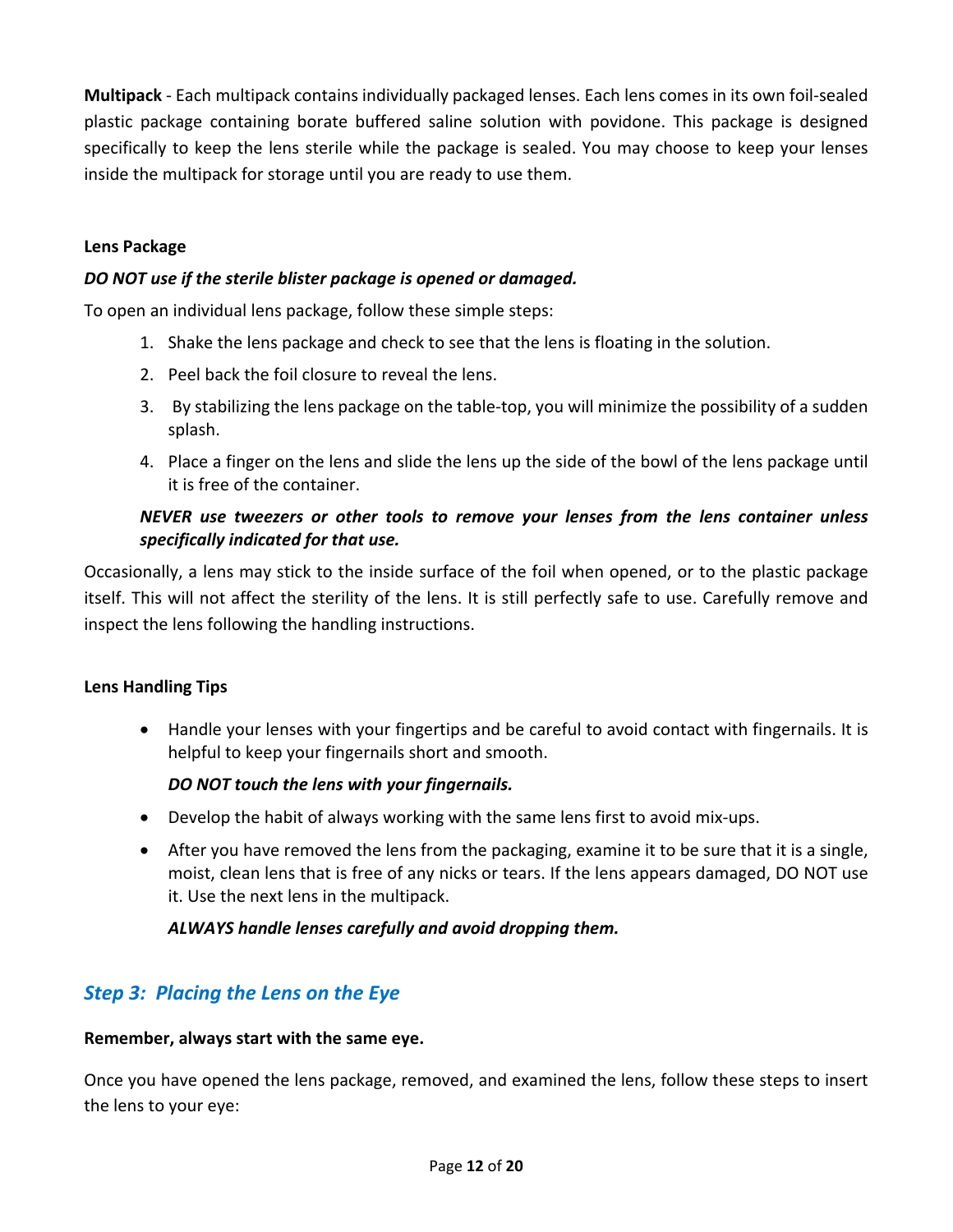**Multipack** ‐ Each multipack contains individually packaged lenses. Each lens comes in its own foil‐sealed plastic package containing borate buffered saline solution with povidone. This package is designed specifically to keep the lens sterile while the package is sealed. You may choose to keep your lenses inside the multipack for storage until you are ready to use them.

#### **Lens Package**

#### *DO NOT use if the sterile blister package is opened or damaged.*

To open an individual lens package, follow these simple steps:

- 1. Shake the lens package and check to see that the lens is floating in the solution.
- 2. Peel back the foil closure to reveal the lens.
- 3. By stabilizing the lens package on the table‐top, you will minimize the possibility of a sudden splash.
- 4. Place a finger on the lens and slide the lens up the side of the bowl of the lens package until it is free of the container.

#### *NEVER use tweezers or other tools to remove your lenses from the lens container unless specifically indicated for that use.*

Occasionally, a lens may stick to the inside surface of the foil when opened, or to the plastic package itself. This will not affect the sterility of the lens. It is still perfectly safe to use. Carefully remove and inspect the lens following the handling instructions.

#### **Lens Handling Tips**

 Handle your lenses with your fingertips and be careful to avoid contact with fingernails. It is helpful to keep your fingernails short and smooth.

#### *DO NOT touch the lens with your fingernails.*

- Develop the habit of always working with the same lens first to avoid mix-ups.
- After you have removed the lens from the packaging, examine it to be sure that it is a single, moist, clean lens that is free of any nicks or tears. If the lens appears damaged, DO NOT use it. Use the next lens in the multipack.

#### *ALWAYS handle lenses carefully and avoid dropping them.*

#### *Step 3: Placing the Lens on the Eye*

#### **Remember, always start with the same eye.**

Once you have opened the lens package, removed, and examined the lens, follow these steps to insert the lens to your eye: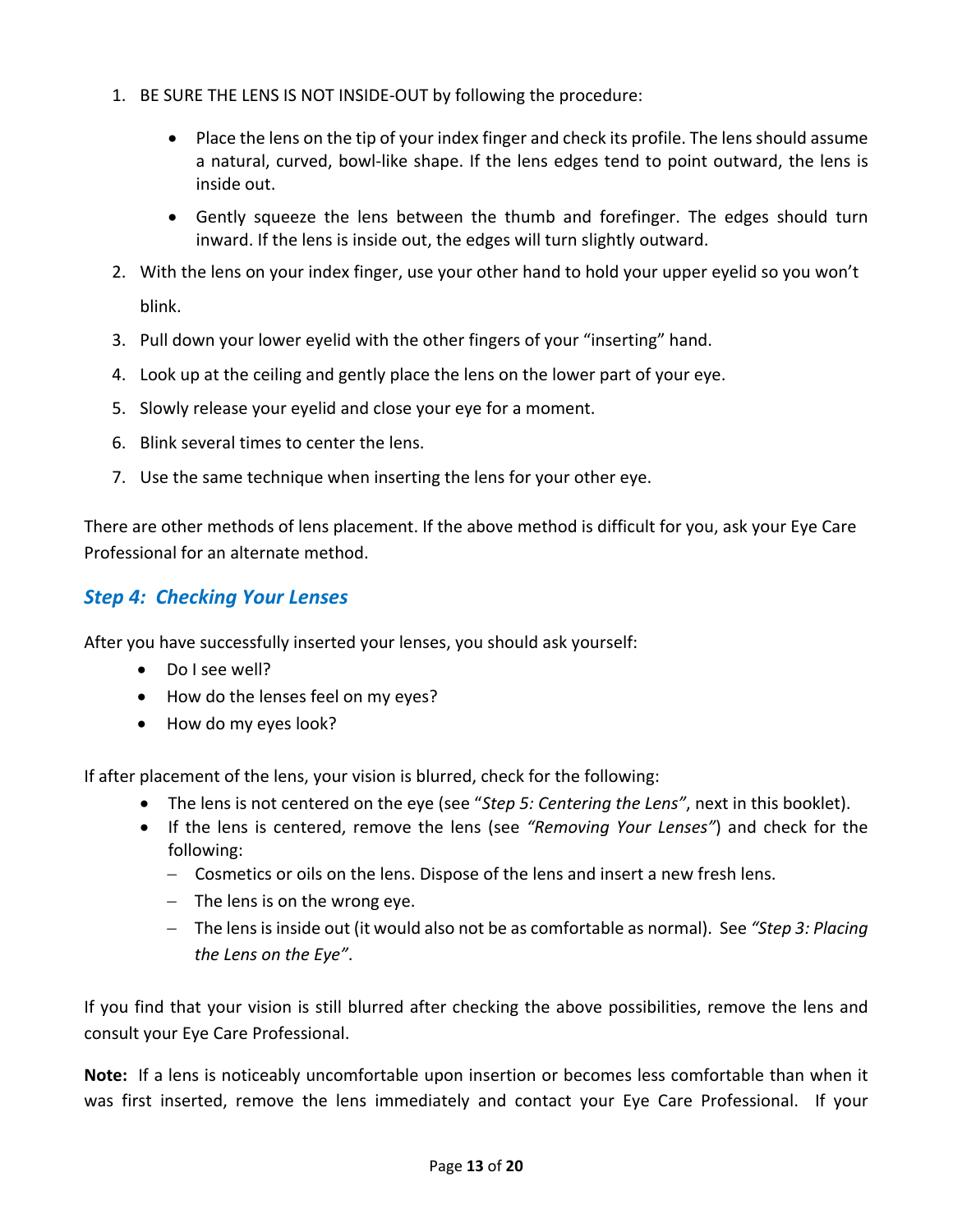- 1. BE SURE THE LENS IS NOT INSIDE‐OUT by following the procedure:
	- Place the lens on the tip of your index finger and check its profile. The lens should assume a natural, curved, bowl-like shape. If the lens edges tend to point outward, the lens is inside out.
	- Gently squeeze the lens between the thumb and forefinger. The edges should turn inward. If the lens is inside out, the edges will turn slightly outward.
- 2. With the lens on your index finger, use your other hand to hold your upper eyelid so you won't blink.
- 3. Pull down your lower eyelid with the other fingers of your "inserting" hand.
- 4. Look up at the ceiling and gently place the lens on the lower part of your eye.
- 5. Slowly release your eyelid and close your eye for a moment.
- 6. Blink several times to center the lens.
- 7. Use the same technique when inserting the lens for your other eye.

There are other methods of lens placement. If the above method is difficult for you, ask your Eye Care Professional for an alternate method.

## *Step 4: Checking Your Lenses*

After you have successfully inserted your lenses, you should ask yourself:

- Do I see well?
- How do the lenses feel on my eyes?
- How do my eyes look?

If after placement of the lens, your vision is blurred, check for the following:

- The lens is not centered on the eye (see "*Step 5: Centering the Lens"*, next in this booklet).
- If the lens is centered, remove the lens (see "Removing Your Lenses") and check for the following:
	- Cosmetics or oils on the lens. Dispose of the lens and insert a new fresh lens.
	- $-$  The lens is on the wrong eye.
	- The lens is inside out (it would also not be as comfortable as normal). See *"Step 3: Placing the Lens on the Eye"*.

If you find that your vision is still blurred after checking the above possibilities, remove the lens and consult your Eye Care Professional.

**Note:** If a lens is noticeably uncomfortable upon insertion or becomes less comfortable than when it was first inserted, remove the lens immediately and contact your Eye Care Professional. If your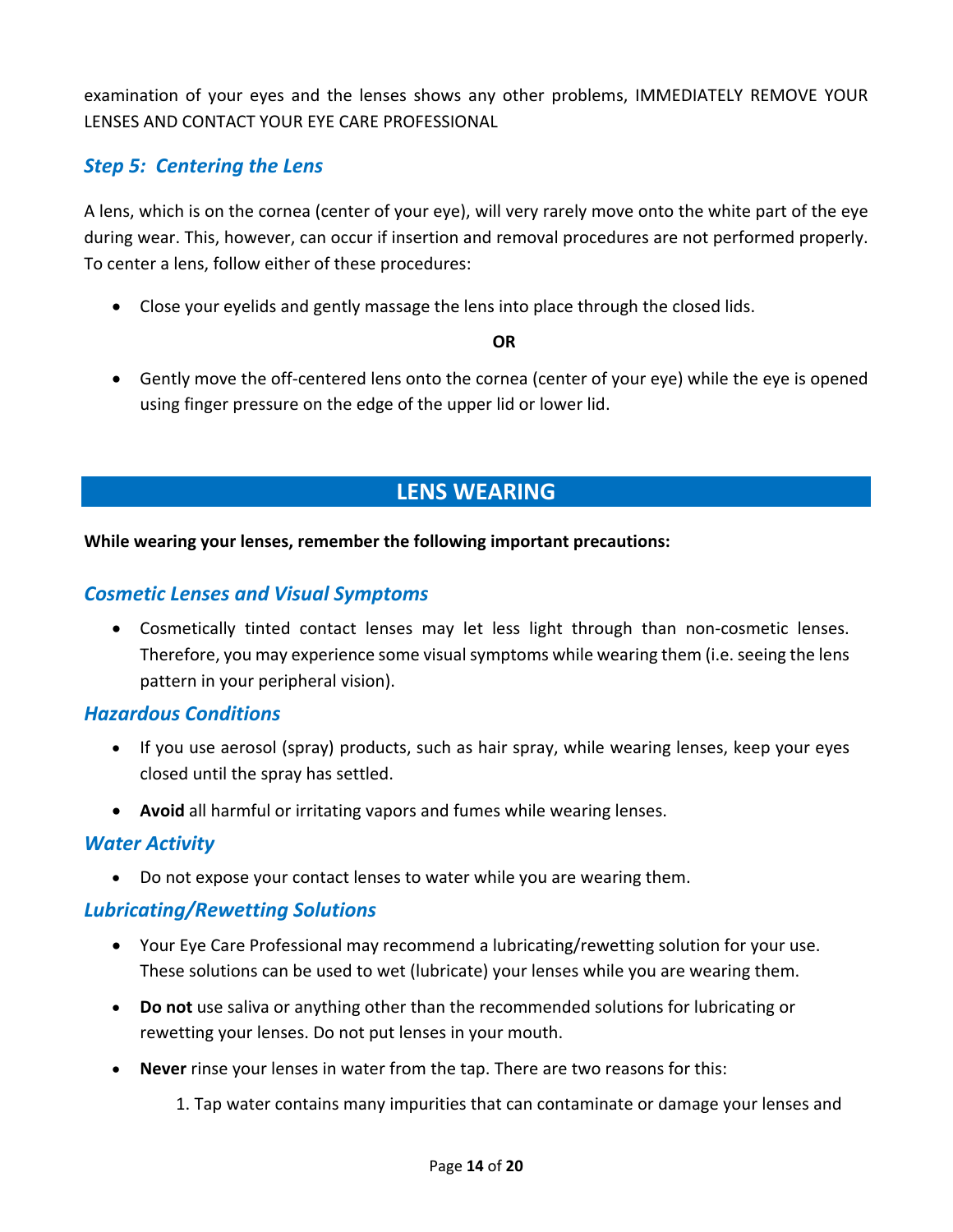examination of your eyes and the lenses shows any other problems, IMMEDIATELY REMOVE YOUR LENSES AND CONTACT YOUR EYE CARE PROFESSIONAL

### *Step 5: Centering the Lens*

A lens, which is on the cornea (center of your eye), will very rarely move onto the white part of the eye during wear. This, however, can occur if insertion and removal procedures are not performed properly. To center a lens, follow either of these procedures:

Close your eyelids and gently massage the lens into place through the closed lids.

#### **OR**

● Gently move the off-centered lens onto the cornea (center of your eye) while the eye is opened using finger pressure on the edge of the upper lid or lower lid.

## **LENS WEARING**

#### **While wearing your lenses, remember the following important precautions:**

#### *Cosmetic Lenses and Visual Symptoms*

● Cosmetically tinted contact lenses may let less light through than non-cosmetic lenses. Therefore, you may experience some visual symptoms while wearing them (i.e. seeing the lens pattern in your peripheral vision).

#### *Hazardous Conditions*

- If you use aerosol (spray) products, such as hair spray, while wearing lenses, keep your eyes closed until the spray has settled.
- **Avoid** all harmful or irritating vapors and fumes while wearing lenses.

#### *Water Activity*

Do not expose your contact lenses to water while you are wearing them.

#### *Lubricating/Rewetting Solutions*

- Your Eye Care Professional may recommend a lubricating/rewetting solution for your use. These solutions can be used to wet (lubricate) your lenses while you are wearing them.
- **Do not** use saliva or anything other than the recommended solutions for lubricating or rewetting your lenses. Do not put lenses in your mouth.
- **Never** rinse your lenses in water from the tap. There are two reasons for this:

1. Tap water contains many impurities that can contaminate or damage your lenses and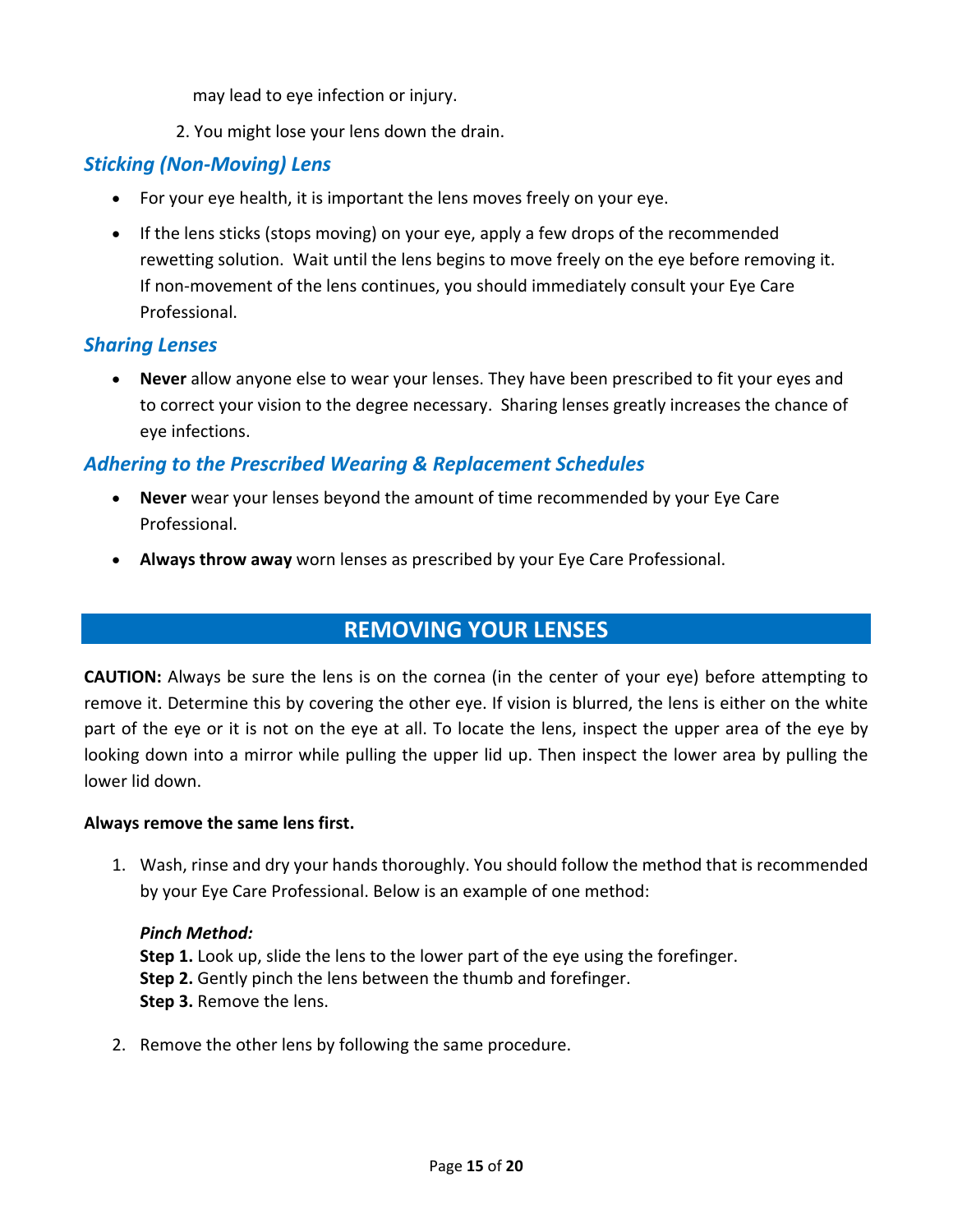may lead to eye infection or injury.

2. You might lose your lens down the drain.

## *Sticking (Non‐Moving) Lens*

- For your eye health, it is important the lens moves freely on your eye.
- If the lens sticks (stops moving) on your eye, apply a few drops of the recommended rewetting solution. Wait until the lens begins to move freely on the eye before removing it. If non‐movement of the lens continues, you should immediately consult your Eye Care Professional.

#### *Sharing Lenses*

 **Never** allow anyone else to wear your lenses. They have been prescribed to fit your eyes and to correct your vision to the degree necessary. Sharing lenses greatly increases the chance of eye infections.

## *Adhering to the Prescribed Wearing & Replacement Schedules*

- **Never** wear your lenses beyond the amount of time recommended by your Eye Care Professional.
- **Always throw away** worn lenses as prescribed by your Eye Care Professional.

## **REMOVING YOUR LENSES**

**CAUTION:** Always be sure the lens is on the cornea (in the center of your eye) before attempting to remove it. Determine this by covering the other eye. If vision is blurred, the lens is either on the white part of the eye or it is not on the eye at all. To locate the lens, inspect the upper area of the eye by looking down into a mirror while pulling the upper lid up. Then inspect the lower area by pulling the lower lid down.

#### **Always remove the same lens first.**

1. Wash, rinse and dry your hands thoroughly. You should follow the method that is recommended by your Eye Care Professional. Below is an example of one method:

#### *Pinch Method:*

**Step 1.** Look up, slide the lens to the lower part of the eye using the forefinger. **Step 2.** Gently pinch the lens between the thumb and forefinger. **Step 3.** Remove the lens.

2. Remove the other lens by following the same procedure.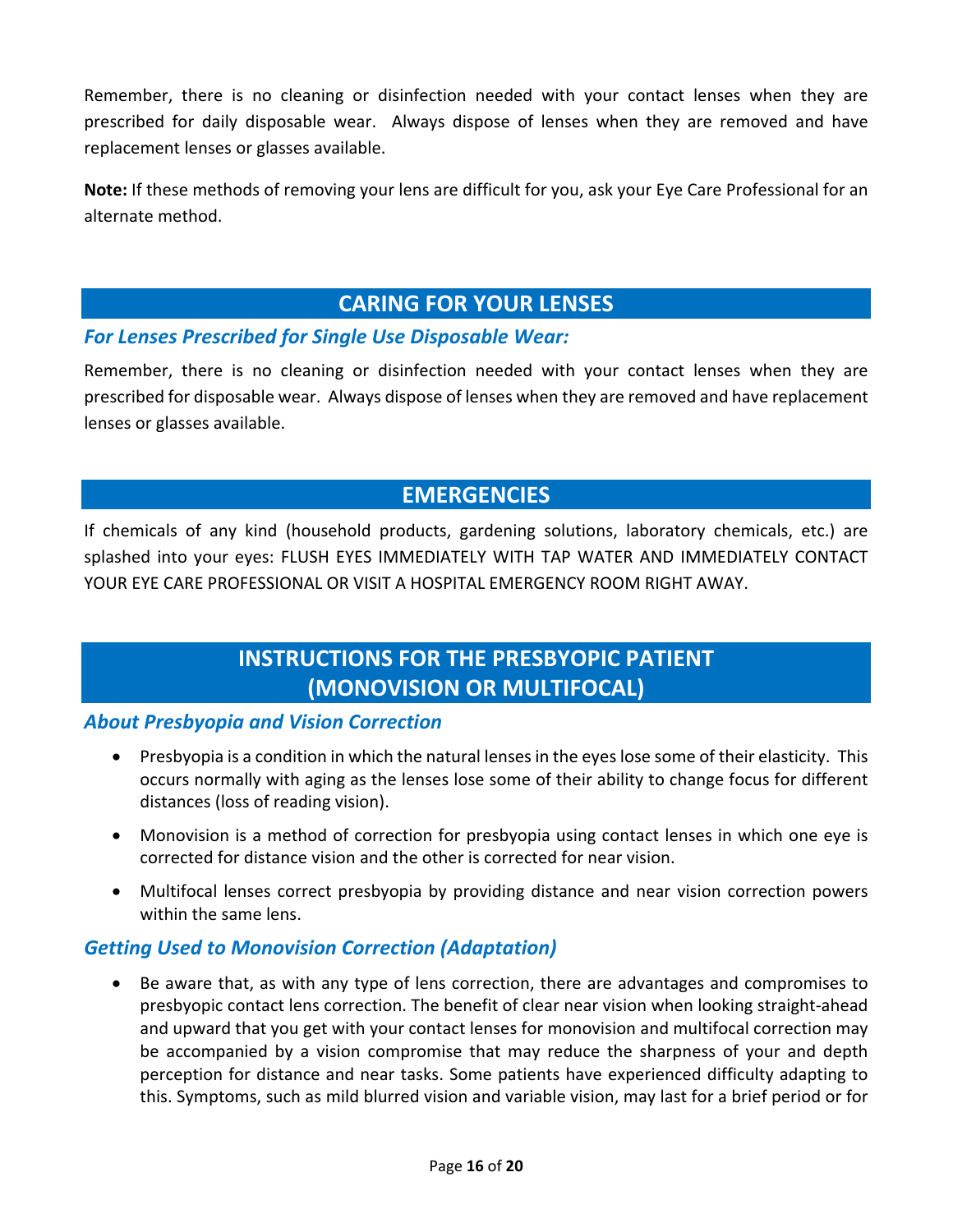Remember, there is no cleaning or disinfection needed with your contact lenses when they are prescribed for daily disposable wear. Always dispose of lenses when they are removed and have replacement lenses or glasses available.

**Note:** If these methods of removing your lens are difficult for you, ask your Eye Care Professional for an alternate method.

## **CARING FOR YOUR LENSES**

#### *For Lenses Prescribed for Single Use Disposable Wear:*

Remember, there is no cleaning or disinfection needed with your contact lenses when they are prescribed for disposable wear. Always dispose of lenses when they are removed and have replacement lenses or glasses available.

## **EMERGENCIES**

If chemicals of any kind (household products, gardening solutions, laboratory chemicals, etc.) are splashed into your eyes: FLUSH EYES IMMEDIATELY WITH TAP WATER AND IMMEDIATELY CONTACT YOUR EYE CARE PROFESSIONAL OR VISIT A HOSPITAL EMERGENCY ROOM RIGHT AWAY.

## **INSTRUCTIONS FOR THE PRESBYOPIC PATIENT (MONOVISION OR MULTIFOCAL)**

#### *About Presbyopia and Vision Correction*

- Presbyopia is a condition in which the natural lenses in the eyes lose some of their elasticity. This occurs normally with aging as the lenses lose some of their ability to change focus for different distances (loss of reading vision).
- Monovision is a method of correction for presbyopia using contact lenses in which one eye is corrected for distance vision and the other is corrected for near vision.
- Multifocal lenses correct presbyopia by providing distance and near vision correction powers within the same lens.

#### *Getting Used to Monovision Correction (Adaptation)*

 Be aware that, as with any type of lens correction, there are advantages and compromises to presbyopic contact lens correction. The benefit of clear near vision when looking straight‐ahead and upward that you get with your contact lenses for monovision and multifocal correction may be accompanied by a vision compromise that may reduce the sharpness of your and depth perception for distance and near tasks. Some patients have experienced difficulty adapting to this. Symptoms, such as mild blurred vision and variable vision, may last for a brief period or for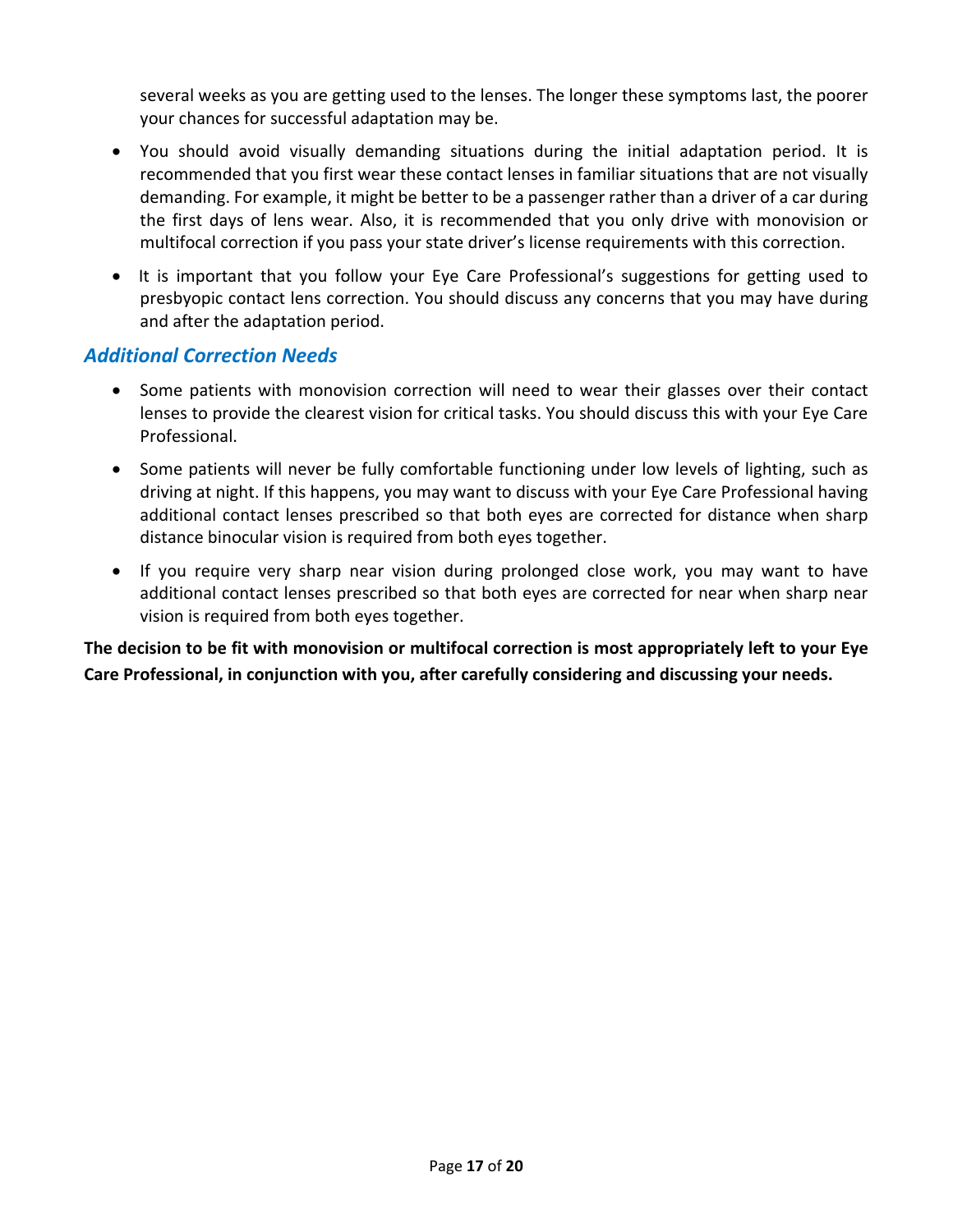several weeks as you are getting used to the lenses. The longer these symptoms last, the poorer your chances for successful adaptation may be.

- You should avoid visually demanding situations during the initial adaptation period. It is recommended that you first wear these contact lenses in familiar situations that are not visually demanding. For example, it might be better to be a passenger rather than a driver of a car during the first days of lens wear. Also, it is recommended that you only drive with monovision or multifocal correction if you pass your state driver's license requirements with this correction.
- It is important that you follow your Eye Care Professional's suggestions for getting used to presbyopic contact lens correction. You should discuss any concerns that you may have during and after the adaptation period.

#### *Additional Correction Needs*

- Some patients with monovision correction will need to wear their glasses over their contact lenses to provide the clearest vision for critical tasks. You should discuss this with your Eye Care Professional.
- Some patients will never be fully comfortable functioning under low levels of lighting, such as driving at night. If this happens, you may want to discuss with your Eye Care Professional having additional contact lenses prescribed so that both eyes are corrected for distance when sharp distance binocular vision is required from both eyes together.
- If you require very sharp near vision during prolonged close work, you may want to have additional contact lenses prescribed so that both eyes are corrected for near when sharp near vision is required from both eyes together.

**The decision to be fit with monovision or multifocal correction is most appropriately left to your Eye Care Professional, in conjunction with you, after carefully considering and discussing your needs.**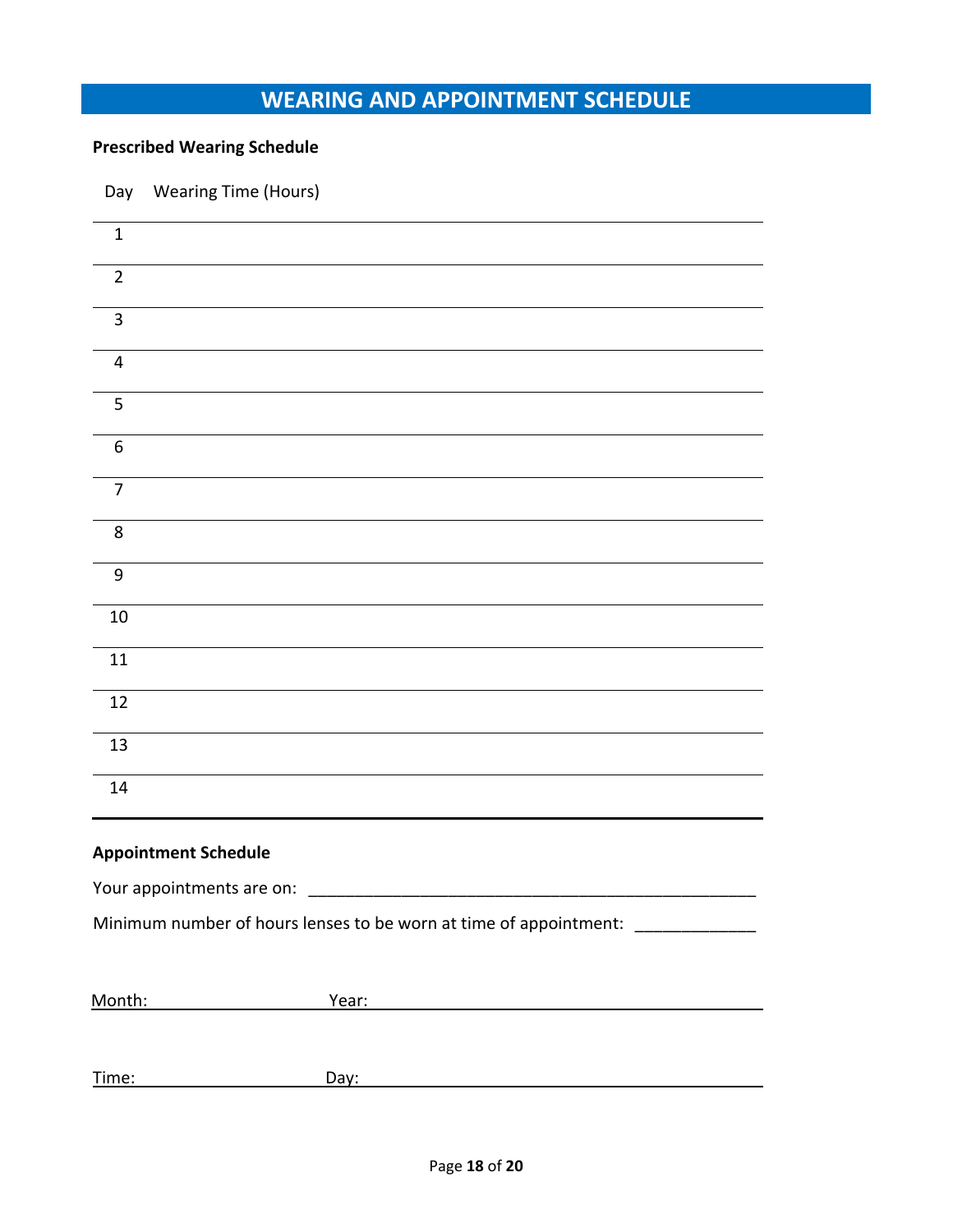## **WEARING AND APPOINTMENT SCHEDULE**

## **Prescribed Wearing Schedule**

Day Wearing Time (Hours)

| $\mathbf{1}$                |                                                                                                                      |  |
|-----------------------------|----------------------------------------------------------------------------------------------------------------------|--|
| $\overline{2}$              |                                                                                                                      |  |
| $\overline{3}$              |                                                                                                                      |  |
| $\overline{4}$              |                                                                                                                      |  |
| 5                           |                                                                                                                      |  |
| 6                           |                                                                                                                      |  |
| $\overline{7}$              |                                                                                                                      |  |
| 8                           |                                                                                                                      |  |
| $9\,$                       |                                                                                                                      |  |
| 10                          |                                                                                                                      |  |
| 11                          |                                                                                                                      |  |
| 12                          |                                                                                                                      |  |
| 13                          |                                                                                                                      |  |
| 14                          |                                                                                                                      |  |
| <b>Appointment Schedule</b> |                                                                                                                      |  |
| Your appointments are on:   | <u> 1989 - Johann Barn, mars eta bainar eta industrial eta erromania eta erromania eta erromania eta erromania e</u> |  |
|                             | Minimum number of hours lenses to be worn at time of appointment: ______________                                     |  |
| Month:                      | Year:                                                                                                                |  |

Time: Day: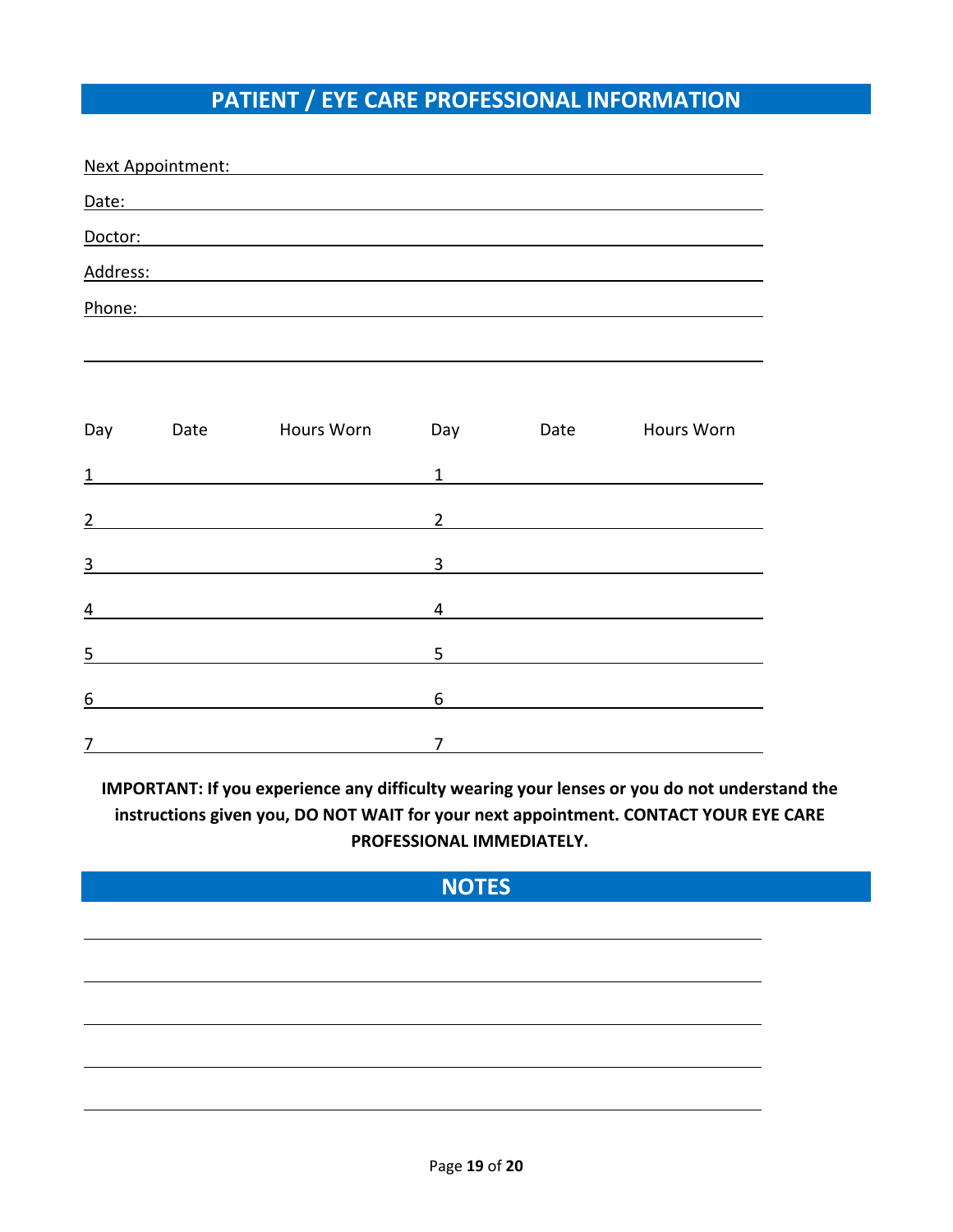# **PATIENT / EYE CARE PROFESSIONAL INFORMATION**

| Next Appointment: |      |            |                |      |                   |
|-------------------|------|------------|----------------|------|-------------------|
| Date:             |      |            |                |      |                   |
| Doctor:           |      |            |                |      |                   |
| Address:          |      |            |                |      |                   |
| Phone:            |      |            |                |      |                   |
|                   |      |            |                |      |                   |
|                   |      |            |                |      |                   |
| Day               | Date | Hours Worn | Day            | Date | <b>Hours Worn</b> |
| 1                 |      |            | $\mathbf{1}$   |      |                   |
| $\overline{2}$    |      |            | $\overline{2}$ |      |                   |
| 3                 |      |            | 3              |      |                   |
|                   |      |            |                |      |                   |

4 4

 $\frac{5}{5}$  5

6 6

7 7

**IMPORTANT: If you experience any difficulty wearing your lenses or you do not understand the instructions given you, DO NOT WAIT for your next appointment. CONTACT YOUR EYE CARE PROFESSIONAL IMMEDIATELY.** 

## **NOTES**